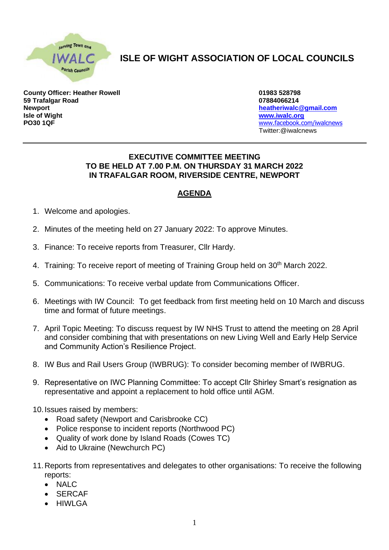

## **ISLE OF WIGHT ASSOCIATION OF LOCAL COUNCILS**

**County Officer: Heather Rowell 01983 528798 59 Trafalgar Road 07884066214 Newport [heatheriwalc@gmail.com](mailto:heatheriwalc@gmail.com) Isle of Wight [www.iwalc.org](http://www.iwalc.org/) PO30 1QF** [www.facebook.com/iwalcnews](http://www.facebook.com/iwalcnews)

Twitter:@iwalcnews

## **EXECUTIVE COMMITTEE MEETING TO BE HELD AT 7.00 P.M. ON THURSDAY 31 MARCH 2022 IN TRAFALGAR ROOM, RIVERSIDE CENTRE, NEWPORT**

## **AGENDA**

- 1. Welcome and apologies.
- 2. Minutes of the meeting held on 27 January 2022: To approve Minutes.
- 3. Finance: To receive reports from Treasurer, Cllr Hardy.
- 4. Training: To receive report of meeting of Training Group held on 30<sup>th</sup> March 2022.
- 5. Communications: To receive verbal update from Communications Officer.
- 6. Meetings with IW Council: To get feedback from first meeting held on 10 March and discuss time and format of future meetings.
- 7. April Topic Meeting: To discuss request by IW NHS Trust to attend the meeting on 28 April and consider combining that with presentations on new Living Well and Early Help Service and Community Action's Resilience Project.
- 8. IW Bus and Rail Users Group (IWBRUG): To consider becoming member of IWBRUG.
- 9. Representative on IWC Planning Committee: To accept Cllr Shirley Smart's resignation as representative and appoint a replacement to hold office until AGM.
- 10.Issues raised by members:
	- Road safety (Newport and Carisbrooke CC)
	- Police response to incident reports (Northwood PC)
	- Quality of work done by Island Roads (Cowes TC)
	- Aid to Ukraine (Newchurch PC)
- 11.Reports from representatives and delegates to other organisations: To receive the following reports:
	- NALC
	- **SERCAF**
	- **HIWLGA**